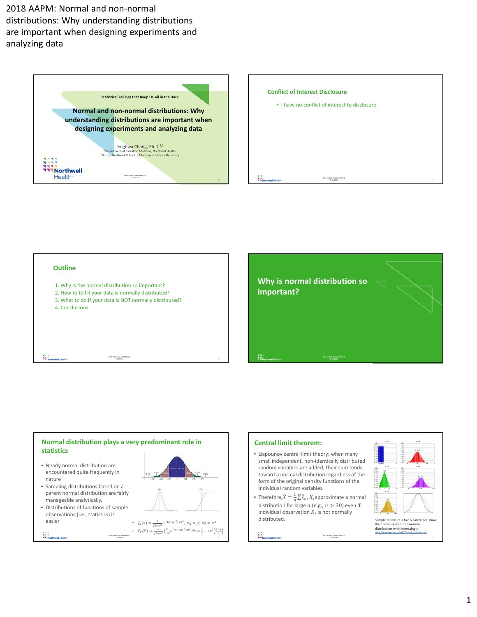

| <b>Conflict of Interest Disclosure</b>          |   |
|-------------------------------------------------|---|
| • I have no conflict of interest to disclosure. |   |
|                                                 |   |
|                                                 |   |
|                                                 |   |
|                                                 |   |
| 2018-AAPM: TU-AB-KDBRA2-2<br>7/31/2018          | 2 |

#### **Outline**

轠

職

- 1. Why is the normal distribution so important?
- 2. How to tell if your data is normally distributed?
- 3. What to do if your data is NOT normally distributed?

**2018‐ AAPM: TU‐AB‐KDBRA2‐2** 

4. Conclusions

# **Why is normal distribution so important?**

**2018‐ AAPM: TU‐AB‐KDBRA2‐2 7/31/2018**

# **Normal distribution plays a very predominant role in statistics**

**2018‐ AAPM: TU‐AB‐KDBRA2‐2 7/31/2018**

- Nearly normal distribution are encountered quite frequently in nature
- Sampling distributions based on a parent normal distribution are fairly manageable analytically.
- Distributions of functions of sample observations (i.e., statistics) is easier



**7/31/2018** 3

#### **Central limit theorem:**

- Liapounov central limit theory: when many small independent, non‐identically distributed random variables are added, their sum tends toward a normal distribution regardless of the form of the original density functions of the individual random variables.
- Therefore, $\bar{X} = \frac{1}{n} \sum_{i=1}^{n} X_i$ approximate a normal distribution for large  $n$  (e.g.,  $n > 30$ ) even if individual observation  $X_i$  is not normally distributed.

**2018‐ AAPM: TU‐AB‐KDBRA2‐2 7/31/2018**

W.

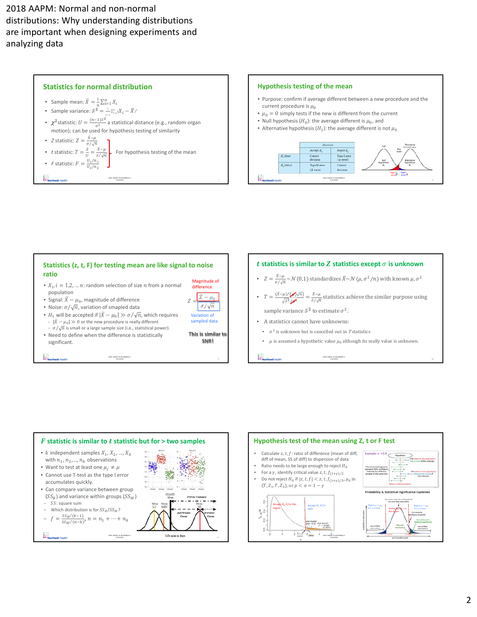

#### **Hypothesis testing of the mean**

- Purpose: confirm if average different between a new procedure and the current procedure is  $\mu_0$
- $\mu_0 = 0$  simply tests if the new is different from the current
- Null hypothesis  $(H_0)$ : the average different is  $\mu_0$ , and
- Alternative hypothesis  $(H_1)$ : the average different is not  $\mu_0$









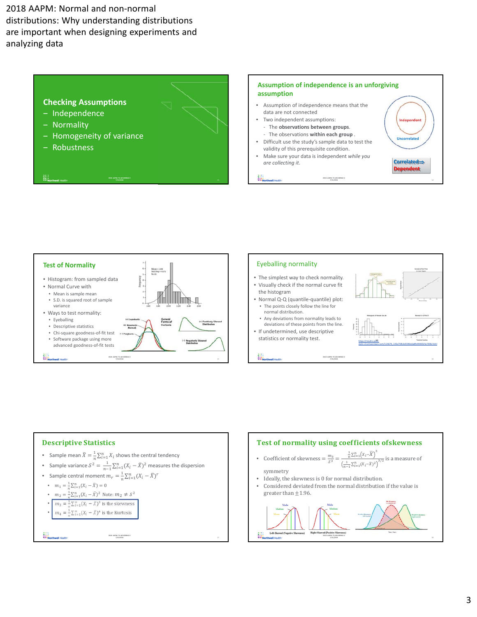





- The simplest way to check normality. • Visually check if the normal curve fit
- Normal Q‐Q (quantile‐quantile) plot: • The points closely follow the line for normal distribution.
- Any deviations from normality leads to deviations of these points from the line.
- If undetermined, use descriptive statistics or normality test.



### Descriptive Statistics

- Sample mean  $\bar{X} = \frac{1}{n} \sum_{i=1}^{n} X_i$  shows the central tendency
- Sample variance  $S^2 = \frac{1}{n-1} \sum_{i=1}^n (X_i \bar{X})^2$  measures the dispersion
- Sample central moment  $m_r = \frac{1}{n} \sum_{i=1}^n (X_i \overline{X})^r$
- $m_1 = \frac{1}{n} \sum_{i=1}^{n} (X_i \bar{X}) = 0$
- $m_2 = \frac{1}{n} \sum_{i=1}^n (X_i \bar{X})^2$  Note:  $m_2 \neq S^2$
- $m_3 = \frac{1}{n} \sum_{i=1}^n (X_i \overline{X})^3$  is the skewness
- $m_4 = \frac{1}{n} \sum_{i=1}^n (X_i \overline{X})^4$  is the Kurtosis

**2018‐ AAPM: TU‐AB‐KDBRA2‐2 7/31/2018**



**7/31/2018**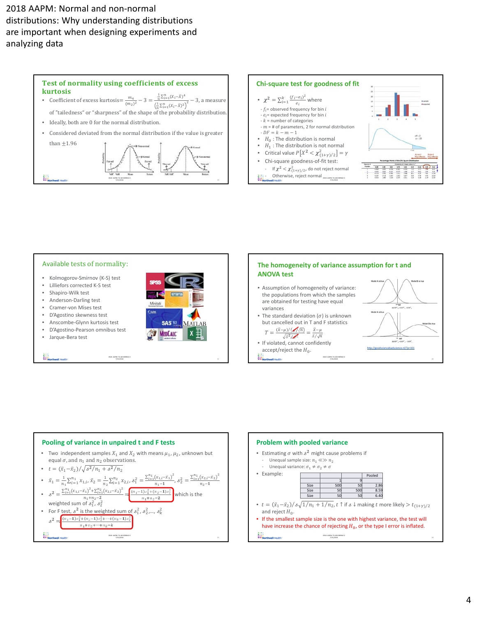



- Kolmogorov‐Smirnov (K‐S) test
- Lilliefors corrected K‐S test
- Shapiro‐Wilk test
- Anderson‐Darling test
- Cramer‐von Mises test
- D'Agostino skewness test
- Anscombe‐Glynn kurtosis test
- D'Agostino‐Pearson omnibus test
- Jarque‐Bera test

**Title**<br>The Northwell Health





**7/31/2018**

http://goodsciencebadscience.nl/?p=101





#### **Pooling of variance in unpaired t and F tests**

• Two independent samples  $X_1$  and  $X_2$  with means  $\mu_1$ ,  $\mu_2$ , unknown but equal  $\sigma$ , and  $n_1$  and  $n_2$  observations.

**2018‐ AAPM: TU‐AB‐KDBRA2‐2 7/31/2018**

- $t = (\bar{x}_1 \bar{x}_2)/\sqrt{s^2/n_1 + s^2/n_2}$
- $\bar{x}_1 = \frac{1}{n_1} \sum_{i=1}^{n_1} x_{1,i}, \bar{x}_2 = \frac{1}{n_2} \sum_{i=1}^{n_2} x_{2,i}, \delta_1^2 = \frac{\sum_{i=1}^{n_1} (x_{1,i} \bar{x}_1)^2}{n_1 1}, \delta_2^2 = \frac{\sum_{i=1}^{n_1} (x_{2,i} \bar{x}_2)^2}{n_2 1}$  $n_2 - 1$
- $s^2 = \frac{\sum_{i=1}^{n_1} (x_{1,i} \bar{x}_1)^2 + \sum_{i=1}^{n_2} (x_{2,i} \bar{x}_2)^2}{n_1 + n_2 2} = \frac{(n_1 1)s_1^2 + (n_2 1)s_2^2}{n_1 + n_2 2}$  which is the weighted sum of  $s_1^2$ ,  $s_2^2$
- For F test,  $s^2$  is the weighted sum of  $s_1^2$ ,  $s_2^2$ ,...,  $s_k^2$  $s^2 = \frac{(n_1-1)s_1^2 + (n_2-1)s_2^2 + \cdots + (n_k-1)s_k^2}{}$

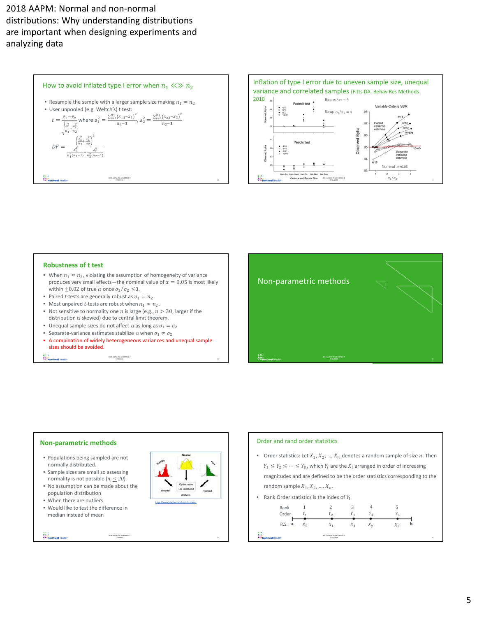



#### **Robustness of t test**

- When  $n_1 \approx n_2$ , violating the assumption of homogeneity of variance produces very small effects—the nominal value of  $\alpha = 0.05$  is most likely within  $\pm 0.02$  of true  $\alpha$  once  $\sigma_1/\sigma_2 \leq 3$ .
- Paired *t*-tests are generally robust as  $n_1 = n_2$ .
- Most unpaired *t*-tests are robust when  $n_1 \approx n_2$ .
- Not sensitive to normality one *n* is large (e.g.,  $n > 30$ , larger if the distribution is skewed) due to central limit theorem.
- Unequal sample sizes do not affect  $\alpha$  as long as  $\sigma_1 = \sigma_2$
- Separate-variance estimates stabilize  $\alpha$  when  $\sigma_1 \neq \sigma_2$
- A combination of widely heterogeneous variances and unequal sample sizes should be avoided.

**2018‐ AAPM: TU‐AB‐KDBRA2‐2 7/31/2018**

₩.



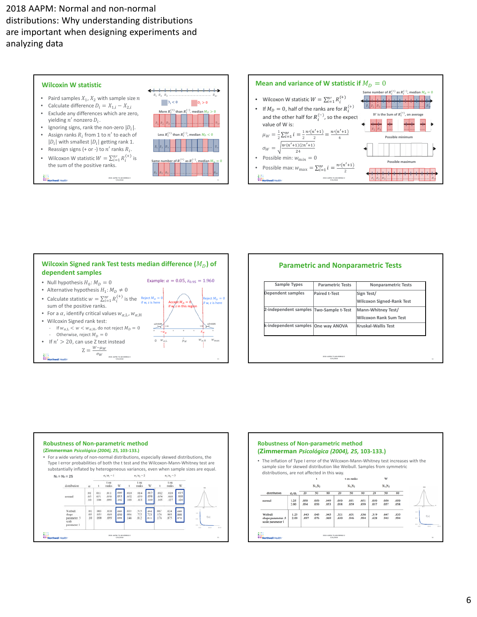





| Dependent samples<br><b>Paired t-Test</b><br>Sign Test/<br><b>Wilcoxon Signed-Rank Test</b><br>Mann-Whitney Test/ |
|-------------------------------------------------------------------------------------------------------------------|
|                                                                                                                   |
| 2-independent samples Two-Sample t-Test                                                                           |
|                                                                                                                   |
| <b>Wilcoxon Rank Sum Test</b>                                                                                     |
| k-independent samples One way ANOVA<br><b>Kruskal-Wallis Test</b>                                                 |
|                                                                                                                   |





## **Parametric and Nonparametric Tests**